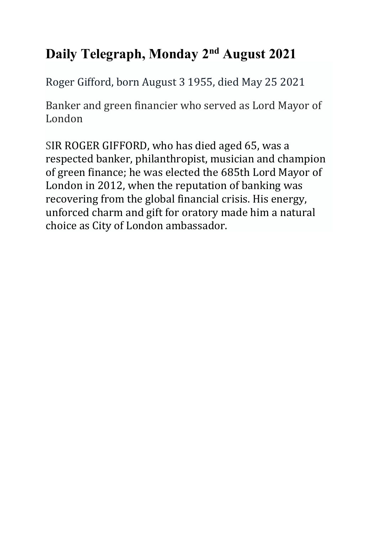# **Daily Telegraph, Monday 2nd August 2021**

Roger Gifford, born August 3 1955, died May 25 2021

Banker and green financier who served as Lord Mayor of London

SIR ROGER GIFFORD, who has died aged 65, was a respected banker, philanthropist, musician and champion of green finance; he was elected the 685th Lord Mayor of London in 2012, when the reputation of banking was recovering from the global financial crisis. His energy, unforced charm and gift for oratory made him a natural choice as City of London ambassador.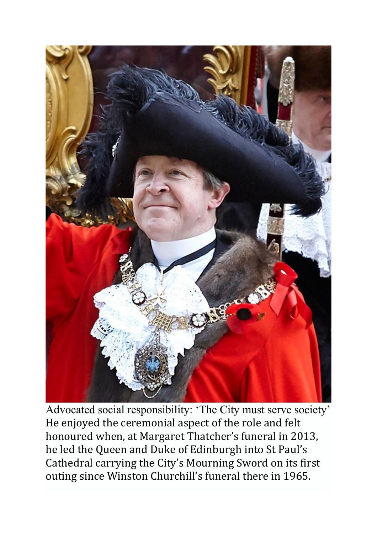

Advocated social responsibility: 'The City must serve society' He enjoyed the ceremonial aspect of the role and felt honoured when, at Margaret Thatcher's funeral in 2013, he led the Queen and Duke of Edinburgh into St Paul's Cathedral carrying the City's Mourning Sword on its first outing since Winston Churchill's funeral there in 1965.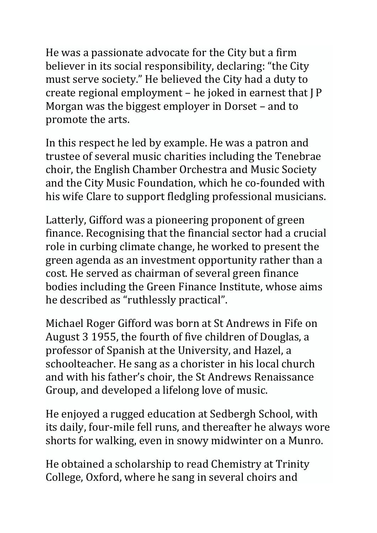He was a passionate advocate for the City but a firm believer in its social responsibility, declaring: "the City must serve society." He believed the City had a duty to create regional employment – he joked in earnest that J P Morgan was the biggest employer in Dorset – and to promote the arts.

In this respect he led by example. He was a patron and trustee of several music charities including the Tenebrae choir, the English Chamber Orchestra and Music Society and the City Music Foundation, which he co-founded with his wife Clare to support fledgling professional musicians.

Latterly, Gifford was a pioneering proponent of green finance. Recognising that the financial sector had a crucial role in curbing climate change, he worked to present the green agenda as an investment opportunity rather than a cost. He served as chairman of several green finance bodies including the Green Finance Institute, whose aims he described as "ruthlessly practical".

Michael Roger Gifford was born at St Andrews in Fife on August 3 1955, the fourth of five children of Douglas, a professor of Spanish at the University, and Hazel, a schoolteacher. He sang as a chorister in his local church and with his father's choir, the St Andrews Renaissance Group, and developed a lifelong love of music.

He enjoyed a rugged education at Sedbergh School, with its daily, four-mile fell runs, and thereafter he always wore shorts for walking, even in snowy midwinter on a Munro.

He obtained a scholarship to read Chemistry at Trinity College, Oxford, where he sang in several choirs and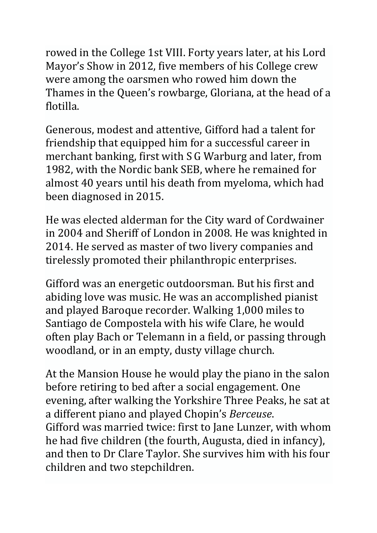rowed in the College 1st VIII. Forty years later, at his Lord Mayor's Show in 2012, five members of his College crew were among the oarsmen who rowed him down the Thames in the Queen's rowbarge, Gloriana, at the head of a flotilla.

Generous, modest and attentive, Gifford had a talent for friendship that equipped him for a successful career in merchant banking, first with S G Warburg and later, from 1982, with the Nordic bank SEB, where he remained for almost 40 years until his death from myeloma, which had been diagnosed in 2015.

He was elected alderman for the City ward of Cordwainer in 2004 and Sheriff of London in 2008. He was knighted in 2014. He served as master of two livery companies and tirelessly promoted their philanthropic enterprises.

Gifford was an energetic outdoorsman. But his first and abiding love was music. He was an accomplished pianist and played Baroque recorder. Walking 1,000 miles to Santiago de Compostela with his wife Clare, he would often play Bach or Telemann in a field, or passing through woodland, or in an empty, dusty village church.

At the Mansion House he would play the piano in the salon before retiring to bed after a social engagement. One evening, after walking the Yorkshire Three Peaks, he sat at a different piano and played Chopin's *Berceuse*. Gifford was married twice: first to Jane Lunzer, with whom he had five children (the fourth, Augusta, died in infancy), and then to Dr Clare Taylor. She survives him with his four children and two stepchildren.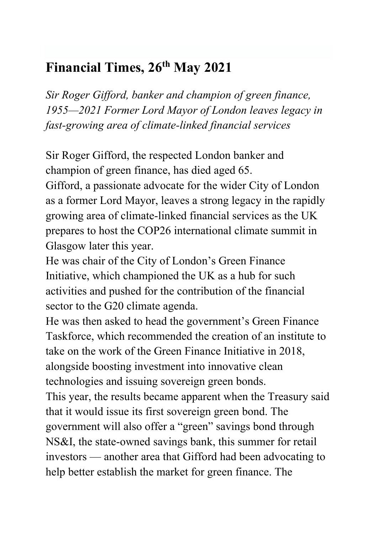# **Financial Times, 26th May 2021**

*Sir Roger Gifford, banker and champion of green finance, 1955—2021 Former Lord Mayor of London leaves legacy in fast-growing area of climate-linked financial services* 

Sir Roger Gifford, the respected London banker and champion of green finance, has died aged 65.

Gifford, a passionate advocate for the wider City of London as a former Lord Mayor, leaves a strong legacy in the rapidly growing area of climate-linked financial services as the UK prepares to host the COP26 international climate summit in Glasgow later this year.

He was chair of the City of London's Green Finance Initiative, which championed the UK as a hub for such activities and pushed for the contribution of the financial sector to the G20 climate agenda.

He was then asked to head the government's Green Finance Taskforce, which recommended the creation of an institute to take on the work of the Green Finance Initiative in 2018, alongside boosting investment into innovative clean technologies and issuing sovereign green bonds.

This year, the results became apparent when the Treasury said that it would issue its first sovereign green bond. The government will also offer a "green" savings bond through NS&I, the state-owned savings bank, this summer for retail investors — another area that Gifford had been advocating to help better establish the market for green finance. The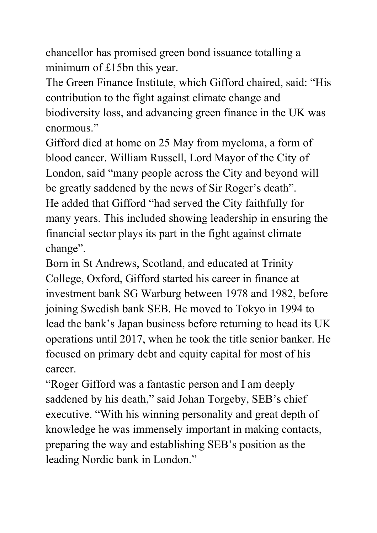chancellor has promised green bond issuance totalling a minimum of £15bn this year.

The Green Finance Institute, which Gifford chaired, said: "His contribution to the fight against climate change and biodiversity loss, and advancing green finance in the UK was enormous."

Gifford died at home on 25 May from myeloma, a form of blood cancer. William Russell, Lord Mayor of the City of London, said "many people across the City and beyond will be greatly saddened by the news of Sir Roger's death". He added that Gifford "had served the City faithfully for many years. This included showing leadership in ensuring the financial sector plays its part in the fight against climate change".

Born in St Andrews, Scotland, and educated at Trinity College, Oxford, Gifford started his career in finance at investment bank SG Warburg between 1978 and 1982, before joining Swedish bank SEB. He moved to Tokyo in 1994 to lead the bank's Japan business before returning to head its UK operations until 2017, when he took the title senior banker. He focused on primary debt and equity capital for most of his career.

"Roger Gifford was a fantastic person and I am deeply saddened by his death," said Johan Torgeby, SEB's chief executive. "With his winning personality and great depth of knowledge he was immensely important in making contacts, preparing the way and establishing SEB's position as the leading Nordic bank in London."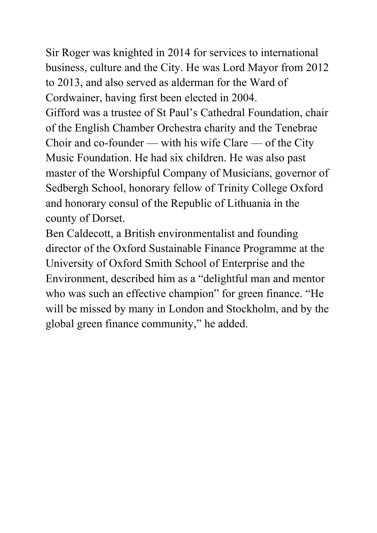Sir Roger was knighted in 2014 for services to international business, culture and the City. He was Lord Mayor from 2012 to 2013, and also served as alderman for the Ward of Cordwainer, having first been elected in 2004. Gifford was a trustee of St Paul's Cathedral Foundation, chair of the English Chamber Orchestra charity and the Tenebrae Choir and co-founder — with his wife Clare — of the City Music Foundation. He had six children. He was also past master of the Worshipful Company of Musicians, governor of Sedbergh School, honorary fellow of Trinity College Oxford and honorary consul of the Republic of Lithuania in the county of Dorset.

Ben Caldecott, a British environmentalist and founding director of the Oxford Sustainable Finance Programme at the University of Oxford Smith School of Enterprise and the Environment, described him as a "delightful man and mentor who was such an effective champion" for green finance. "He will be missed by many in London and Stockholm, and by the global green finance community," he added.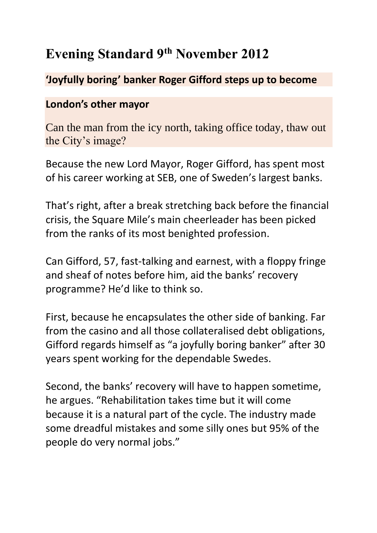# **Evening Standard 9th November 2012**

### **'Joyfully boring' banker Roger Gifford steps up to become**

### **London's other mayor**

Can the man from the icy north, taking office today, thaw out the City's image?

Because the new Lord Mayor, Roger Gifford, has spent most of his career working at SEB, one of Sweden's largest banks.

That's right, after a break stretching back before the financial crisis, the Square Mile's main cheerleader has been picked from the ranks of its most benighted profession.

Can Gifford, 57, fast-talking and earnest, with a floppy fringe and sheaf of notes before him, aid the banks' recovery programme? He'd like to think so.

First, because he encapsulates the other side of banking. Far from the casino and all those collateralised debt obligations, Gifford regards himself as "a joyfully boring banker" after 30 years spent working for the dependable Swedes.

Second, the banks' recovery will have to happen sometime, he argues. "Rehabilitation takes time but it will come because it is a natural part of the cycle. The industry made some dreadful mistakes and some silly ones but 95% of the people do very normal jobs."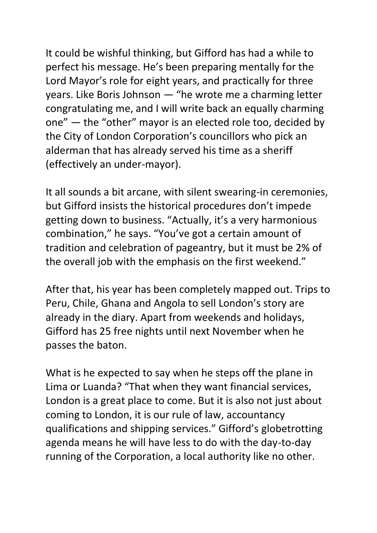It could be wishful thinking, but Gifford has had a while to perfect his message. He's been preparing mentally for the Lord Mayor's role for eight years, and practically for three years. Like Boris Johnson — "he wrote me a charming letter congratulating me, and I will write back an equally charming one" — the "other" mayor is an elected role too, decided by the City of London Corporation's councillors who pick an alderman that has already served his time as a sheriff (effectively an under-mayor).

It all sounds a bit arcane, with silent swearing-in ceremonies, but Gifford insists the historical procedures don't impede getting down to business. "Actually, it's a very harmonious combination," he says. "You've got a certain amount of tradition and celebration of pageantry, but it must be 2% of the overall job with the emphasis on the first weekend."

After that, his year has been completely mapped out. Trips to Peru, Chile, Ghana and Angola to sell London's story are already in the diary. Apart from weekends and holidays, Gifford has 25 free nights until next November when he passes the baton.

What is he expected to say when he steps off the plane in Lima or Luanda? "That when they want financial services, London is a great place to come. But it is also not just about coming to London, it is our rule of law, accountancy qualifications and shipping services." Gifford's globetrotting agenda means he will have less to do with the day-to-day running of the Corporation, a local authority like no other.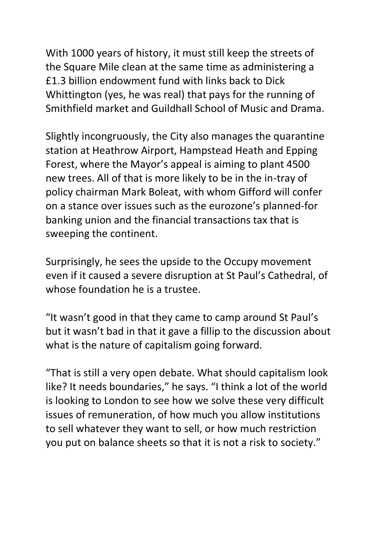With 1000 years of history, it must still keep the streets of the Square Mile clean at the same time as administering a £1.3 billion endowment fund with links back to Dick Whittington (yes, he was real) that pays for the running of Smithfield market and Guildhall School of Music and Drama.

Slightly incongruously, the City also manages the quarantine station at Heathrow Airport, Hampstead Heath and Epping Forest, where the Mayor's appeal is aiming to plant 4500 new trees. All of that is more likely to be in the in-tray of policy chairman Mark Boleat, with whom Gifford will confer on a stance over issues such as the eurozone's planned-for banking union and the financial transactions tax that is sweeping the continent.

Surprisingly, he sees the upside to the Occupy movement even if it caused a severe disruption at St Paul's Cathedral, of whose foundation he is a trustee.

"It wasn't good in that they came to camp around St Paul's but it wasn't bad in that it gave a fillip to the discussion about what is the nature of capitalism going forward.

"That is still a very open debate. What should capitalism look like? It needs boundaries," he says. "I think a lot of the world is looking to London to see how we solve these very difficult issues of remuneration, of how much you allow institutions to sell whatever they want to sell, or how much restriction you put on balance sheets so that it is not a risk to society."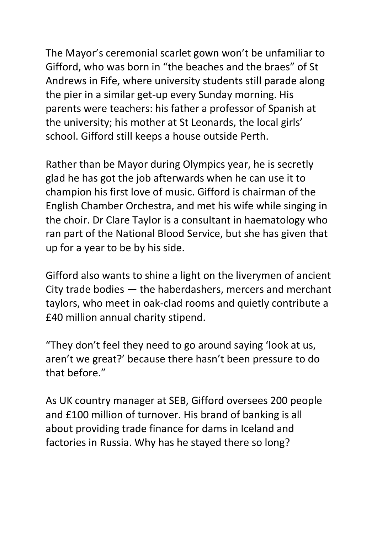The Mayor's ceremonial scarlet gown won't be unfamiliar to Gifford, who was born in "the beaches and the braes" of St Andrews in Fife, where university students still parade along the pier in a similar get-up every Sunday morning. His parents were teachers: his father a professor of Spanish at the university; his mother at St Leonards, the local girls' school. Gifford still keeps a house outside Perth.

Rather than be Mayor during Olympics year, he is secretly glad he has got the job afterwards when he can use it to champion his first love of music. Gifford is chairman of the English Chamber Orchestra, and met his wife while singing in the choir. Dr Clare Taylor is a consultant in haematology who ran part of the National Blood Service, but she has given that up for a year to be by his side.

Gifford also wants to shine a light on the liverymen of ancient City trade bodies — the haberdashers, mercers and merchant taylors, who meet in oak-clad rooms and quietly contribute a £40 million annual charity stipend.

"They don't feel they need to go around saying 'look at us, aren't we great?' because there hasn't been pressure to do that before."

As UK country manager at SEB, Gifford oversees 200 people and £100 million of turnover. His brand of banking is all about providing trade finance for dams in Iceland and factories in Russia. Why has he stayed there so long?